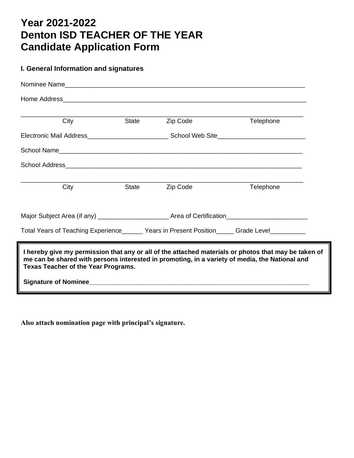## **Year 2021-2022 Denton ISD TEACHER OF THE YEAR Candidate Application Form**

## **I. General Information and signatures**

| City                                                                                                                                                                                                                                                 |       | State<br>Zip Code | Telephone |  |
|------------------------------------------------------------------------------------------------------------------------------------------------------------------------------------------------------------------------------------------------------|-------|-------------------|-----------|--|
| Electronic Mail Address________________________School Web Site__________________                                                                                                                                                                     |       |                   |           |  |
|                                                                                                                                                                                                                                                      |       |                   |           |  |
|                                                                                                                                                                                                                                                      |       |                   |           |  |
|                                                                                                                                                                                                                                                      |       |                   |           |  |
| City                                                                                                                                                                                                                                                 | State | Zip Code          | Telephone |  |
| Major Subject Area (if any) __________________________Area of Certification________________________                                                                                                                                                  |       |                   |           |  |
| Total Years of Teaching Experience______ Years in Present Position_____ Grade Level_________                                                                                                                                                         |       |                   |           |  |
| I hereby give my permission that any or all of the attached materials or photos that may be taken of<br>me can be shared with persons interested in promoting, in a variety of media, the National and<br><b>Texas Teacher of the Year Programs.</b> |       |                   |           |  |
| Signature of Nominee <b>contract the Contract of Signature of Nominee</b>                                                                                                                                                                            |       |                   |           |  |

**Also attach nomination page with principal's signature.**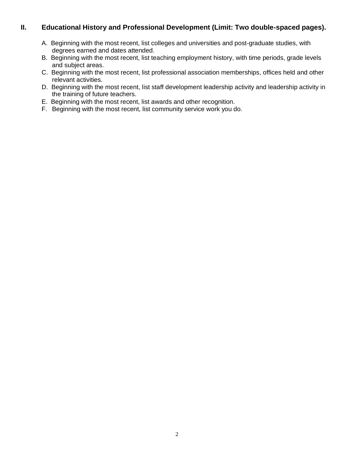## **II. Educational History and Professional Development (Limit: Two double-spaced pages).**

- A. Beginning with the most recent, list colleges and universities and post-graduate studies, with degrees earned and dates attended.
- B. Beginning with the most recent, list teaching employment history, with time periods, grade levels and subject areas.
- C. Beginning with the most recent, list professional association memberships, offices held and other relevant activities.
- D. Beginning with the most recent, list staff development leadership activity and leadership activity in the training of future teachers.
- E. Beginning with the most recent, list awards and other recognition.
- F. Beginning with the most recent, list community service work you do.